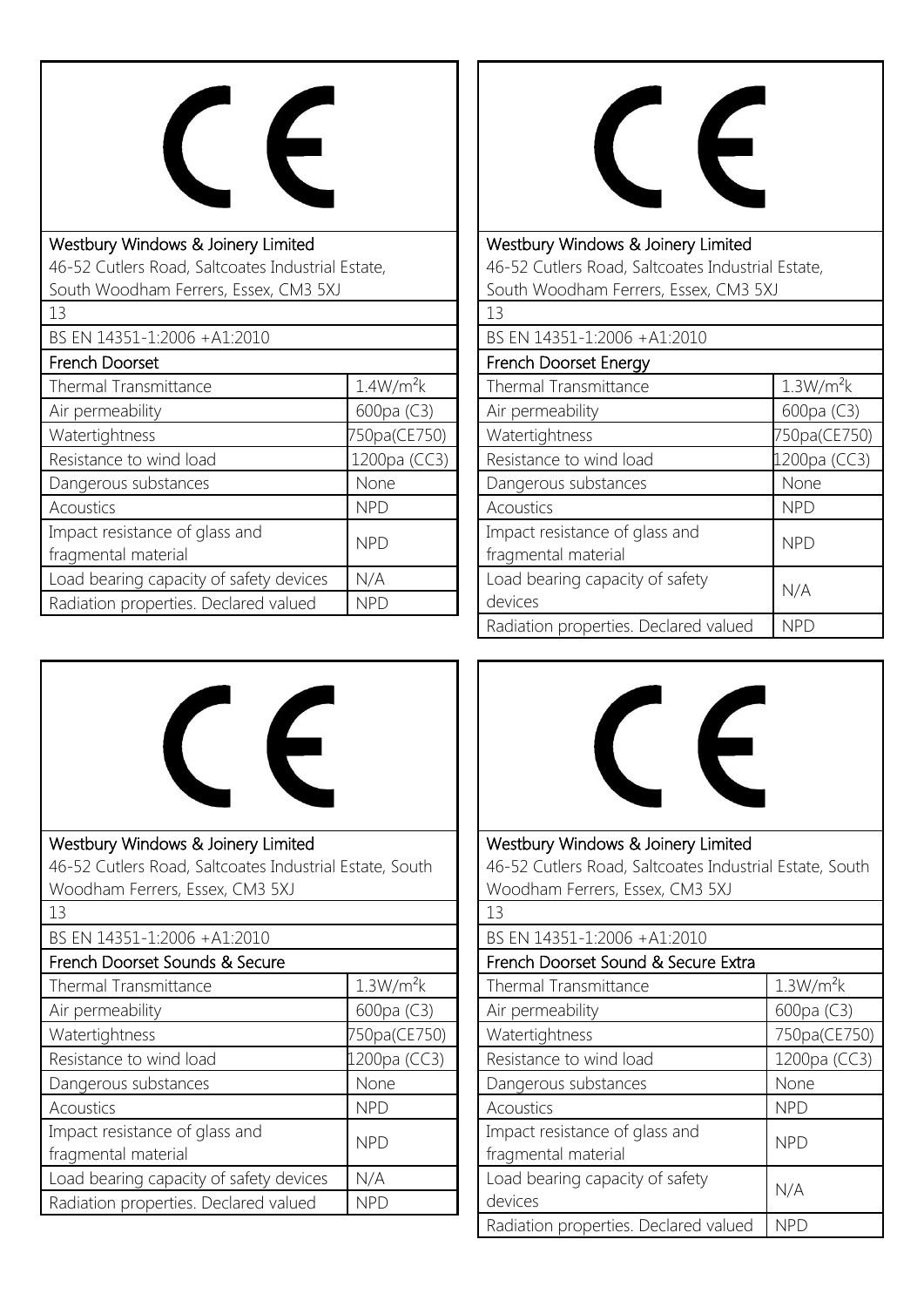

| Westbury Windows & Joinery Limited                |                       |  |
|---------------------------------------------------|-----------------------|--|
| 46-52 Cutlers Road, Saltcoates Industrial Estate, |                       |  |
| South Woodham Ferrers, Essex, CM3 5XJ             |                       |  |
| 13                                                |                       |  |
| BS EN 14351-1:2006 +A1:2010                       |                       |  |
| French Doorset                                    |                       |  |
| Thermal Transmittance                             | 1.4W/m <sup>2</sup> k |  |
| Air permeability                                  | 600pa (C3)            |  |
| Watertightness                                    | 750pa(CE750)          |  |
| Resistance to wind load                           | 1200pa (CC3)          |  |
| Dangerous substances                              | None                  |  |
| Acoustics                                         | <b>NPD</b>            |  |
| Impact resistance of glass and                    | <b>NPD</b>            |  |
| fragmental material                               |                       |  |
| Load bearing capacity of safety devices           | N/A                   |  |
| Radiation properties. Declared valued             | NPD                   |  |



Westbury Windows & Joinery Limited 46-52 Cutlers Road, Saltcoates Industrial Estate, South Woodham Ferrers, Essex, CM3 5XJ

| 13                                                    |                       |
|-------------------------------------------------------|-----------------------|
| BS EN 14351-1:2006 +A1:2010                           |                       |
| French Doorset Energy                                 |                       |
| Thermal Transmittance                                 | 1.3W/m <sup>2</sup> k |
| Air permeability                                      | 600pa (C3)            |
| Watertightness                                        | 750pa(CE750)          |
| Resistance to wind load                               | 1200pa (CC3)          |
| Dangerous substances                                  | None                  |
| Acoustics                                             | <b>NPD</b>            |
| Impact resistance of glass and<br>fragmental material | <b>NPD</b>            |
| Load bearing capacity of safety<br>devices            | N/A                   |
| Radiation properties. Declared valued                 | NPD                   |





Westbury Windows & Joinery Limited 46-52 Cutlers Road, Saltcoates Industrial Estate, South Woodham Ferrers, Essex, CM3 5XJ 13 BS EN 14351-1:2006 +A1:2010 French Doorset Sound & Secure Extra

| TICHCH DOOISCE SOUHU OCSCCUIC EAGU    |                       |
|---------------------------------------|-----------------------|
| Thermal Transmittance                 | 1.3W/m <sup>2</sup> k |
| Air permeability                      | 600pa (C3)            |
| Watertightness                        | 750pa(CE750)          |
| Resistance to wind load               | 1200pa (CC3)          |
| Dangerous substances                  | None                  |
| Acoustics                             | <b>NPD</b>            |
| Impact resistance of glass and        | <b>NPD</b>            |
| fragmental material                   |                       |
| Load bearing capacity of safety       | N/A                   |
| devices                               |                       |
| Radiation properties. Declared valued | <b>NPD</b>            |